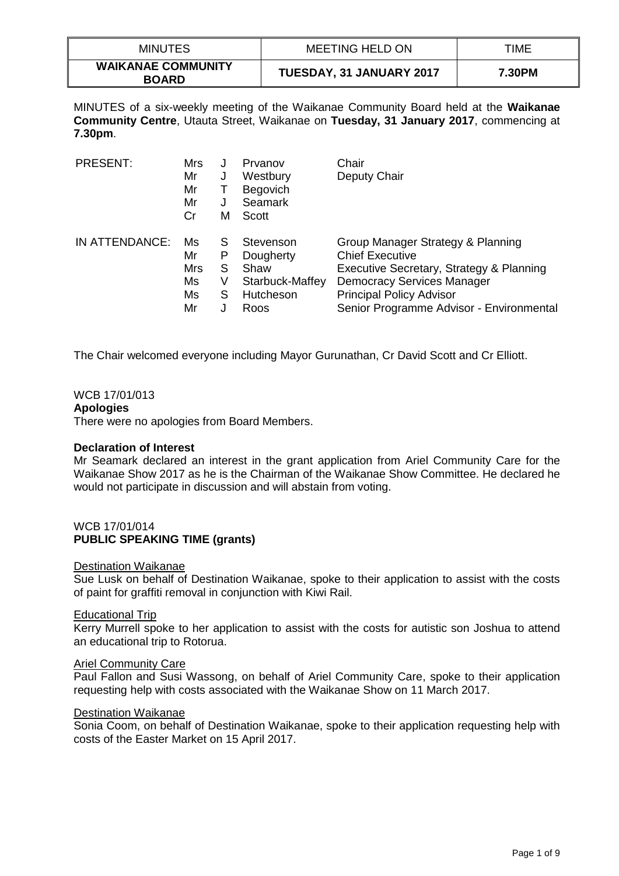| <b>MINUTES</b>                            | MEETING HELD ON          | TIME   |
|-------------------------------------------|--------------------------|--------|
| <b>WAIKANAE COMMUNITY</b><br><b>BOARD</b> | TUESDAY, 31 JANUARY 2017 | 7.30PM |

MINUTES of a six-weekly meeting of the Waikanae Community Board held at the **Waikanae Community Centre**, Utauta Street, Waikanae on **Tuesday, 31 January 2017**, commencing at **7.30pm**.

| <b>PRESENT:</b> | Mrs<br>Mr<br>Mr<br>Mr<br>Cr | J<br>J<br>J<br>м | Prvanov<br>Westbury<br>Begovich<br>Seamark<br>Scott | Chair<br>Deputy Chair                    |
|-----------------|-----------------------------|------------------|-----------------------------------------------------|------------------------------------------|
| IN ATTENDANCE:  | Ms                          | S                | Stevenson                                           | Group Manager Strategy & Planning        |
|                 | Mr                          | Ρ                | Dougherty                                           | <b>Chief Executive</b>                   |
|                 | Mrs                         | S                | Shaw                                                | Executive Secretary, Strategy & Planning |
|                 | Ms                          | V                | Starbuck-Maffey                                     | <b>Democracy Services Manager</b>        |
|                 | Ms                          | S                | Hutcheson                                           | <b>Principal Policy Advisor</b>          |
|                 | Mr                          | J                | Roos                                                | Senior Programme Advisor - Environmental |

The Chair welcomed everyone including Mayor Gurunathan, Cr David Scott and Cr Elliott.

# WCB 17/01/013

### **Apologies**

There were no apologies from Board Members.

### **Declaration of Interest**

Mr Seamark declared an interest in the grant application from Ariel Community Care for the Waikanae Show 2017 as he is the Chairman of the Waikanae Show Committee. He declared he would not participate in discussion and will abstain from voting.

# WCB 17/01/014 **PUBLIC SPEAKING TIME (grants)**

#### Destination Waikanae

Sue Lusk on behalf of Destination Waikanae, spoke to their application to assist with the costs of paint for graffiti removal in conjunction with Kiwi Rail.

### Educational Trip

Kerry Murrell spoke to her application to assist with the costs for autistic son Joshua to attend an educational trip to Rotorua.

### Ariel Community Care

Paul Fallon and Susi Wassong, on behalf of Ariel Community Care, spoke to their application requesting help with costs associated with the Waikanae Show on 11 March 2017.

# Destination Waikanae

Sonia Coom, on behalf of Destination Waikanae, spoke to their application requesting help with costs of the Easter Market on 15 April 2017.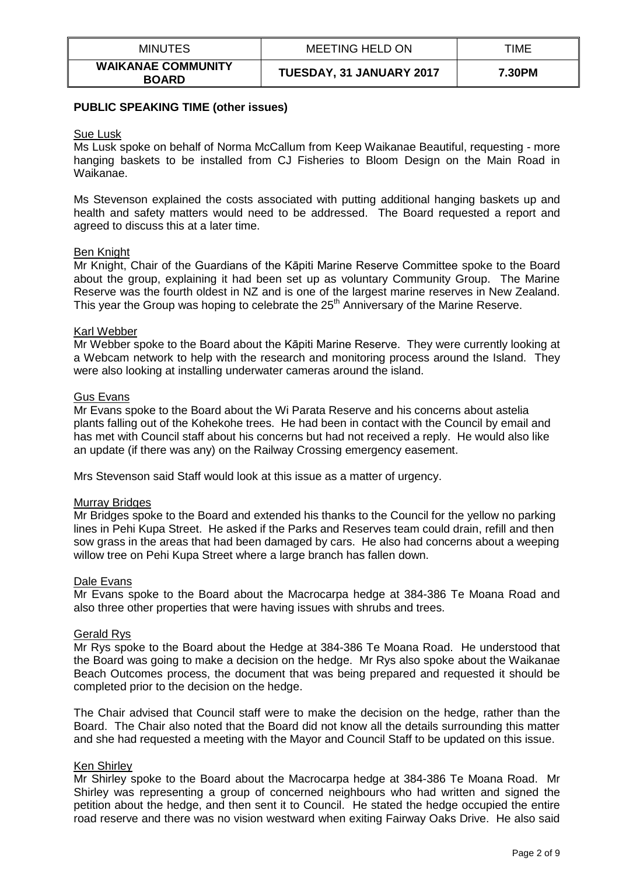| <b>MINUTES</b>                            | <b>MEETING HELD ON</b>   | TIME   |
|-------------------------------------------|--------------------------|--------|
| <b>WAIKANAE COMMUNITY</b><br><b>BOARD</b> | TUESDAY, 31 JANUARY 2017 | 7.30PM |

### **PUBLIC SPEAKING TIME (other issues)**

#### Sue Lusk

Ms Lusk spoke on behalf of Norma McCallum from Keep Waikanae Beautiful, requesting - more hanging baskets to be installed from CJ Fisheries to Bloom Design on the Main Road in Waikanae.

Ms Stevenson explained the costs associated with putting additional hanging baskets up and health and safety matters would need to be addressed. The Board requested a report and agreed to discuss this at a later time.

#### Ben Knight

Mr Knight, Chair of the Guardians of the Kāpiti Marine Reserve Committee spoke to the Board about the group, explaining it had been set up as voluntary Community Group. The Marine Reserve was the fourth oldest in NZ and is one of the largest marine reserves in New Zealand. This year the Group was hoping to celebrate the 25<sup>th</sup> Anniversary of the Marine Reserve.

#### Karl Webber

Mr Webber spoke to the Board about the Kāpiti Marine Reserve. They were currently looking at a Webcam network to help with the research and monitoring process around the Island. They were also looking at installing underwater cameras around the island.

#### Gus Evans

Mr Evans spoke to the Board about the Wi Parata Reserve and his concerns about astelia plants falling out of the Kohekohe trees. He had been in contact with the Council by email and has met with Council staff about his concerns but had not received a reply. He would also like an update (if there was any) on the Railway Crossing emergency easement.

Mrs Stevenson said Staff would look at this issue as a matter of urgency.

#### Murray Bridges

Mr Bridges spoke to the Board and extended his thanks to the Council for the yellow no parking lines in Pehi Kupa Street. He asked if the Parks and Reserves team could drain, refill and then sow grass in the areas that had been damaged by cars. He also had concerns about a weeping willow tree on Pehi Kupa Street where a large branch has fallen down.

#### Dale Evans

Mr Evans spoke to the Board about the Macrocarpa hedge at 384-386 Te Moana Road and also three other properties that were having issues with shrubs and trees.

#### Gerald Rys

Mr Rys spoke to the Board about the Hedge at 384-386 Te Moana Road. He understood that the Board was going to make a decision on the hedge. Mr Rys also spoke about the Waikanae Beach Outcomes process, the document that was being prepared and requested it should be completed prior to the decision on the hedge.

The Chair advised that Council staff were to make the decision on the hedge, rather than the Board. The Chair also noted that the Board did not know all the details surrounding this matter and she had requested a meeting with the Mayor and Council Staff to be updated on this issue.

### Ken Shirley

Mr Shirley spoke to the Board about the Macrocarpa hedge at 384-386 Te Moana Road. Mr Shirley was representing a group of concerned neighbours who had written and signed the petition about the hedge, and then sent it to Council. He stated the hedge occupied the entire road reserve and there was no vision westward when exiting Fairway Oaks Drive. He also said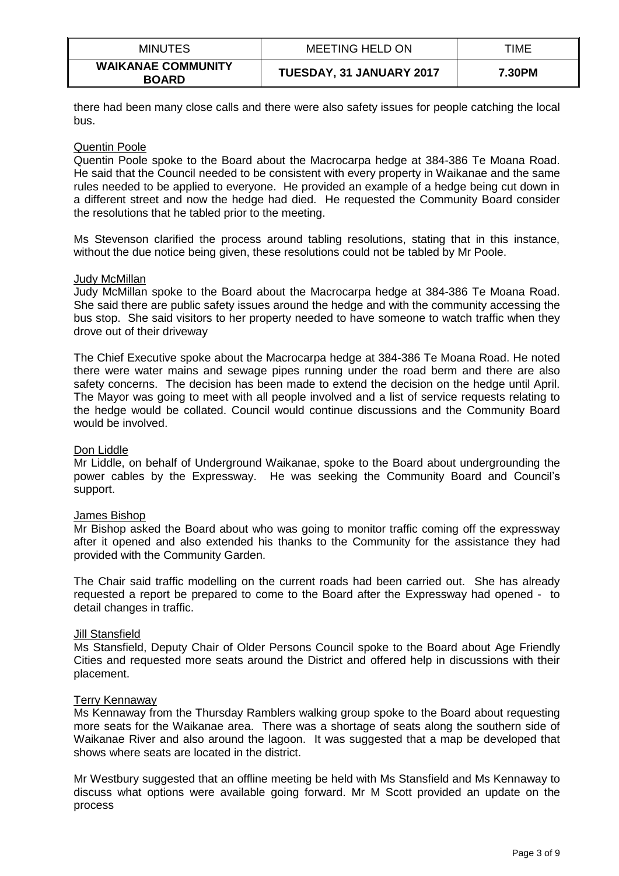| <b>MINUTES</b>                            | <b>MEETING HELD ON</b>   | TIME   |
|-------------------------------------------|--------------------------|--------|
| <b>WAIKANAE COMMUNITY</b><br><b>BOARD</b> | TUESDAY, 31 JANUARY 2017 | 7.30PM |

there had been many close calls and there were also safety issues for people catching the local bus.

# Quentin Poole

Quentin Poole spoke to the Board about the Macrocarpa hedge at 384-386 Te Moana Road. He said that the Council needed to be consistent with every property in Waikanae and the same rules needed to be applied to everyone. He provided an example of a hedge being cut down in a different street and now the hedge had died. He requested the Community Board consider the resolutions that he tabled prior to the meeting.

Ms Stevenson clarified the process around tabling resolutions, stating that in this instance, without the due notice being given, these resolutions could not be tabled by Mr Poole.

### Judy McMillan

Judy McMillan spoke to the Board about the Macrocarpa hedge at 384-386 Te Moana Road. She said there are public safety issues around the hedge and with the community accessing the bus stop. She said visitors to her property needed to have someone to watch traffic when they drove out of their driveway

The Chief Executive spoke about the Macrocarpa hedge at 384-386 Te Moana Road. He noted there were water mains and sewage pipes running under the road berm and there are also safety concerns. The decision has been made to extend the decision on the hedge until April. The Mayor was going to meet with all people involved and a list of service requests relating to the hedge would be collated. Council would continue discussions and the Community Board would be involved.

### Don Liddle

Mr Liddle, on behalf of Underground Waikanae, spoke to the Board about undergrounding the power cables by the Expressway. He was seeking the Community Board and Council's support.

### James Bishop

Mr Bishop asked the Board about who was going to monitor traffic coming off the expressway after it opened and also extended his thanks to the Community for the assistance they had provided with the Community Garden.

The Chair said traffic modelling on the current roads had been carried out. She has already requested a report be prepared to come to the Board after the Expressway had opened - to detail changes in traffic.

### Jill Stansfield

Ms Stansfield, Deputy Chair of Older Persons Council spoke to the Board about Age Friendly Cities and requested more seats around the District and offered help in discussions with their placement.

### Terry Kennaway

Ms Kennaway from the Thursday Ramblers walking group spoke to the Board about requesting more seats for the Waikanae area. There was a shortage of seats along the southern side of Waikanae River and also around the lagoon. It was suggested that a map be developed that shows where seats are located in the district.

Mr Westbury suggested that an offline meeting be held with Ms Stansfield and Ms Kennaway to discuss what options were available going forward. Mr M Scott provided an update on the process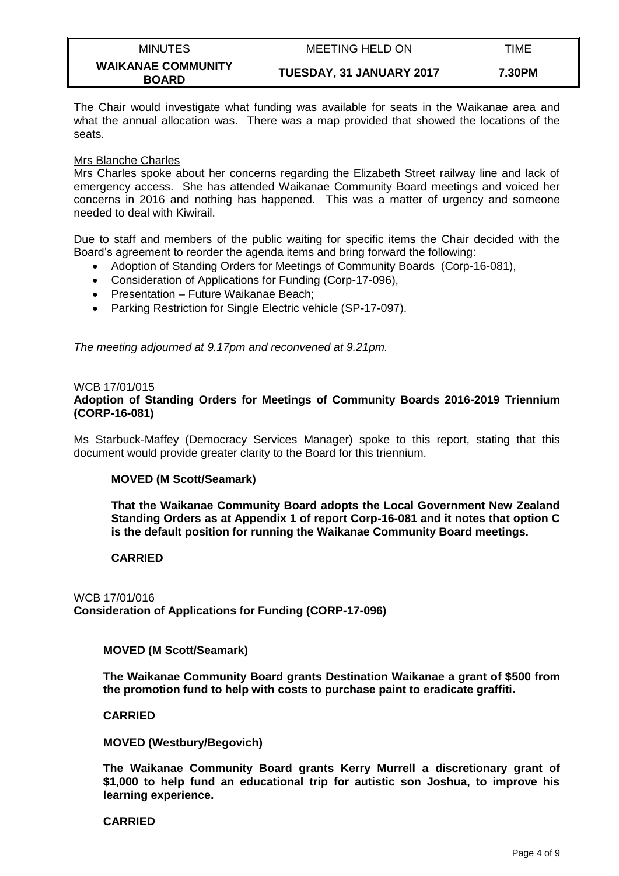| <b>MINUTES</b>                            | MEETING HELD ON          | TIME   |
|-------------------------------------------|--------------------------|--------|
| <b>WAIKANAE COMMUNITY</b><br><b>BOARD</b> | TUESDAY, 31 JANUARY 2017 | 7.30PM |

The Chair would investigate what funding was available for seats in the Waikanae area and what the annual allocation was. There was a map provided that showed the locations of the seats.

### Mrs Blanche Charles

Mrs Charles spoke about her concerns regarding the Elizabeth Street railway line and lack of emergency access. She has attended Waikanae Community Board meetings and voiced her concerns in 2016 and nothing has happened. This was a matter of urgency and someone needed to deal with Kiwirail.

Due to staff and members of the public waiting for specific items the Chair decided with the Board's agreement to reorder the agenda items and bring forward the following:

- Adoption of Standing Orders for Meetings of Community Boards (Corp-16-081),
- Consideration of Applications for Funding (Corp-17-096),
- Presentation Future Waikanae Beach;
- Parking Restriction for Single Electric vehicle (SP-17-097).

*The meeting adjourned at 9.17pm and reconvened at 9.21pm.* 

### WCB 17/01/015

# **Adoption of Standing Orders for Meetings of Community Boards 2016-2019 Triennium (CORP-16-081)**

Ms Starbuck-Maffey (Democracy Services Manager) spoke to this report, stating that this document would provide greater clarity to the Board for this triennium.

### **MOVED (M Scott/Seamark)**

**That the Waikanae Community Board adopts the Local Government New Zealand Standing Orders as at Appendix 1 of report Corp-16-081 and it notes that option C is the default position for running the Waikanae Community Board meetings.**

### **CARRIED**

# WCB 17/01/016 **Consideration of Applications for Funding (CORP-17-096)**

### **MOVED (M Scott/Seamark)**

**The Waikanae Community Board grants Destination Waikanae a grant of \$500 from the promotion fund to help with costs to purchase paint to eradicate graffiti.**

### **CARRIED**

**MOVED (Westbury/Begovich)**

**The Waikanae Community Board grants Kerry Murrell a discretionary grant of \$1,000 to help fund an educational trip for autistic son Joshua, to improve his learning experience.**

### **CARRIED**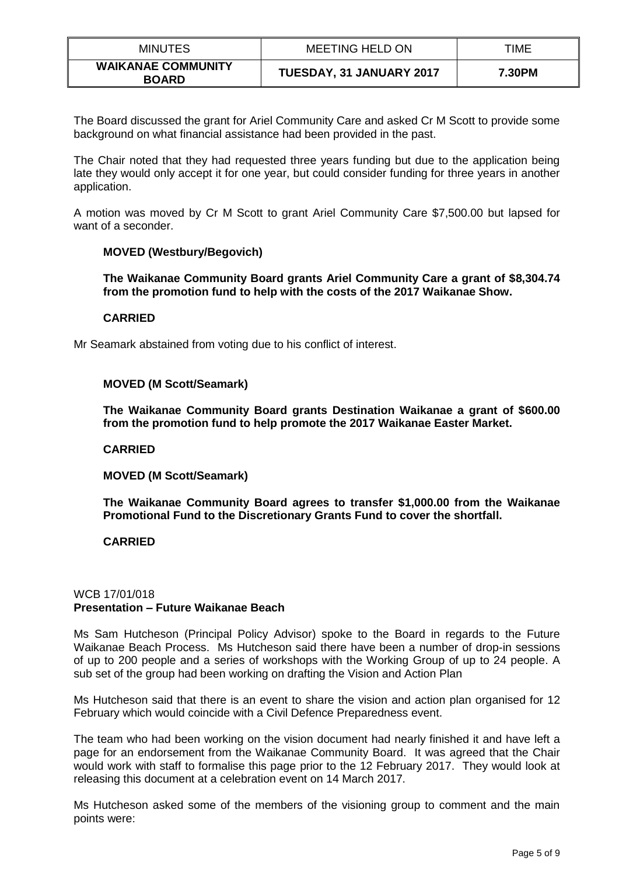| <b>MINUTES</b>                            | <b>MEETING HELD ON</b>          | TIME   |
|-------------------------------------------|---------------------------------|--------|
| <b>WAIKANAE COMMUNITY</b><br><b>BOARD</b> | <b>TUESDAY, 31 JANUARY 2017</b> | 7.30PM |

The Board discussed the grant for Ariel Community Care and asked Cr M Scott to provide some background on what financial assistance had been provided in the past.

The Chair noted that they had requested three years funding but due to the application being late they would only accept it for one year, but could consider funding for three years in another application.

A motion was moved by Cr M Scott to grant Ariel Community Care \$7,500.00 but lapsed for want of a seconder.

# **MOVED (Westbury/Begovich)**

**The Waikanae Community Board grants Ariel Community Care a grant of \$8,304.74 from the promotion fund to help with the costs of the 2017 Waikanae Show.**

# **CARRIED**

Mr Seamark abstained from voting due to his conflict of interest.

# **MOVED (M Scott/Seamark)**

**The Waikanae Community Board grants Destination Waikanae a grant of \$600.00 from the promotion fund to help promote the 2017 Waikanae Easter Market.**

### **CARRIED**

**MOVED (M Scott/Seamark)**

**The Waikanae Community Board agrees to transfer \$1,000.00 from the Waikanae Promotional Fund to the Discretionary Grants Fund to cover the shortfall.**

# **CARRIED**

# WCB 17/01/018 **Presentation – Future Waikanae Beach**

Ms Sam Hutcheson (Principal Policy Advisor) spoke to the Board in regards to the Future Waikanae Beach Process. Ms Hutcheson said there have been a number of drop-in sessions of up to 200 people and a series of workshops with the Working Group of up to 24 people. A sub set of the group had been working on drafting the Vision and Action Plan

Ms Hutcheson said that there is an event to share the vision and action plan organised for 12 February which would coincide with a Civil Defence Preparedness event.

The team who had been working on the vision document had nearly finished it and have left a page for an endorsement from the Waikanae Community Board. It was agreed that the Chair would work with staff to formalise this page prior to the 12 February 2017. They would look at releasing this document at a celebration event on 14 March 2017.

Ms Hutcheson asked some of the members of the visioning group to comment and the main points were: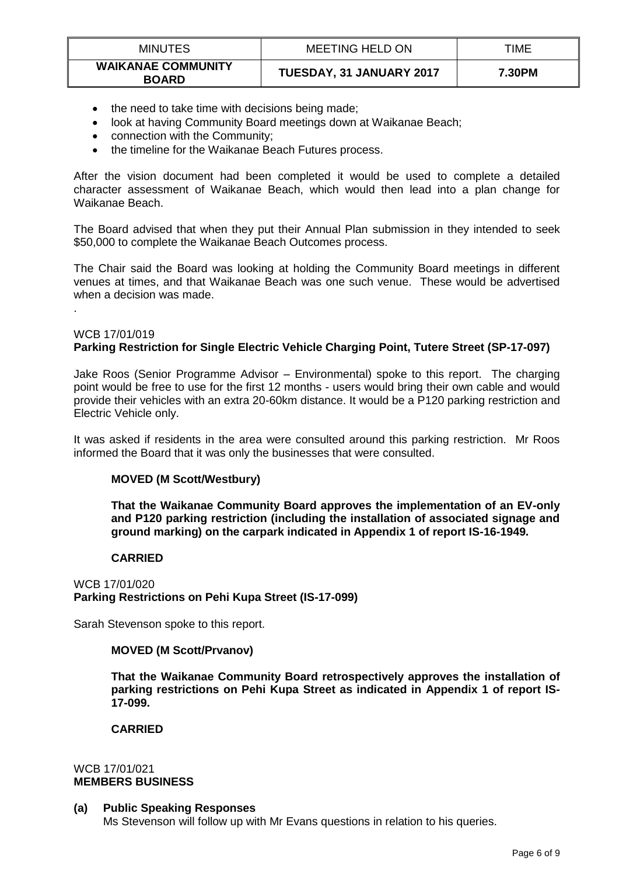| <b>MINUTES</b>                            | MEETING HELD ON                 | TIME   |
|-------------------------------------------|---------------------------------|--------|
| <b>WAIKANAE COMMUNITY</b><br><b>BOARD</b> | <b>TUESDAY, 31 JANUARY 2017</b> | 7.30PM |

- the need to take time with decisions being made;
- look at having Community Board meetings down at Waikanae Beach;
- connection with the Community;
- the timeline for the Waikanae Beach Futures process.

After the vision document had been completed it would be used to complete a detailed character assessment of Waikanae Beach, which would then lead into a plan change for Waikanae Beach.

The Board advised that when they put their Annual Plan submission in they intended to seek \$50,000 to complete the Waikanae Beach Outcomes process.

The Chair said the Board was looking at holding the Community Board meetings in different venues at times, and that Waikanae Beach was one such venue. These would be advertised when a decision was made.

# WCB 17/01/019

.

# **Parking Restriction for Single Electric Vehicle Charging Point, Tutere Street (SP-17-097)**

Jake Roos (Senior Programme Advisor – Environmental) spoke to this report. The charging point would be free to use for the first 12 months - users would bring their own cable and would provide their vehicles with an extra 20-60km distance. It would be a P120 parking restriction and Electric Vehicle only.

It was asked if residents in the area were consulted around this parking restriction. Mr Roos informed the Board that it was only the businesses that were consulted.

# **MOVED (M Scott/Westbury)**

**That the Waikanae Community Board approves the implementation of an EV-only and P120 parking restriction (including the installation of associated signage and ground marking) on the carpark indicated in Appendix 1 of report IS-16-1949.**

### **CARRIED**

WCB 17/01/020 **Parking Restrictions on Pehi Kupa Street (IS-17-099)**

Sarah Stevenson spoke to this report.

# **MOVED (M Scott/Prvanov)**

**That the Waikanae Community Board retrospectively approves the installation of parking restrictions on Pehi Kupa Street as indicated in Appendix 1 of report IS-17-099.**

# **CARRIED**

# WCB 17/01/021 **MEMBERS BUSINESS**

# **(a) Public Speaking Responses**

Ms Stevenson will follow up with Mr Evans questions in relation to his queries.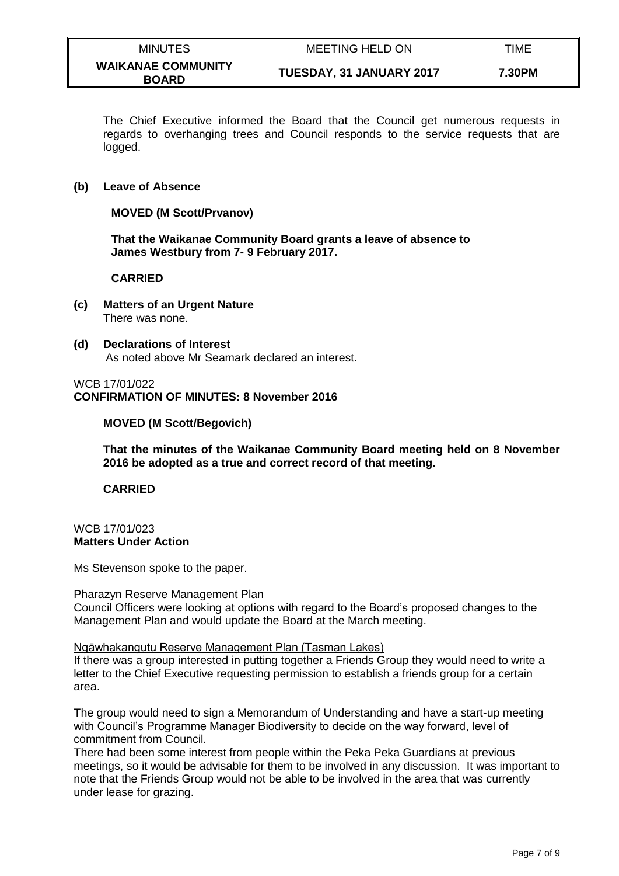| <b>MINUTES</b>                            | MEETING HELD ON          | TIME   |
|-------------------------------------------|--------------------------|--------|
| <b>WAIKANAE COMMUNITY</b><br><b>BOARD</b> | TUESDAY, 31 JANUARY 2017 | 7.30PM |

The Chief Executive informed the Board that the Council get numerous requests in regards to overhanging trees and Council responds to the service requests that are logged.

# **(b) Leave of Absence**

# **MOVED (M Scott/Prvanov)**

**That the Waikanae Community Board grants a leave of absence to James Westbury from 7- 9 February 2017.**

# **CARRIED**

- **(c) Matters of an Urgent Nature** There was none.
- **(d) Declarations of Interest** As noted above Mr Seamark declared an interest.

# WCB 17/01/022 **CONFIRMATION OF MINUTES: 8 November 2016**

# **MOVED (M Scott/Begovich)**

**That the minutes of the Waikanae Community Board meeting held on 8 November 2016 be adopted as a true and correct record of that meeting.** 

### **CARRIED**

# WCB 17/01/023 **Matters Under Action**

Ms Stevenson spoke to the paper.

### Pharazyn Reserve Management Plan

Council Officers were looking at options with regard to the Board's proposed changes to the Management Plan and would update the Board at the March meeting.

### Ngāwhakangutu Reserve Management Plan (Tasman Lakes)

If there was a group interested in putting together a Friends Group they would need to write a letter to the Chief Executive requesting permission to establish a friends group for a certain area.

The group would need to sign a Memorandum of Understanding and have a start-up meeting with Council's Programme Manager Biodiversity to decide on the way forward, level of commitment from Council.

There had been some interest from people within the Peka Peka Guardians at previous meetings, so it would be advisable for them to be involved in any discussion. It was important to note that the Friends Group would not be able to be involved in the area that was currently under lease for grazing.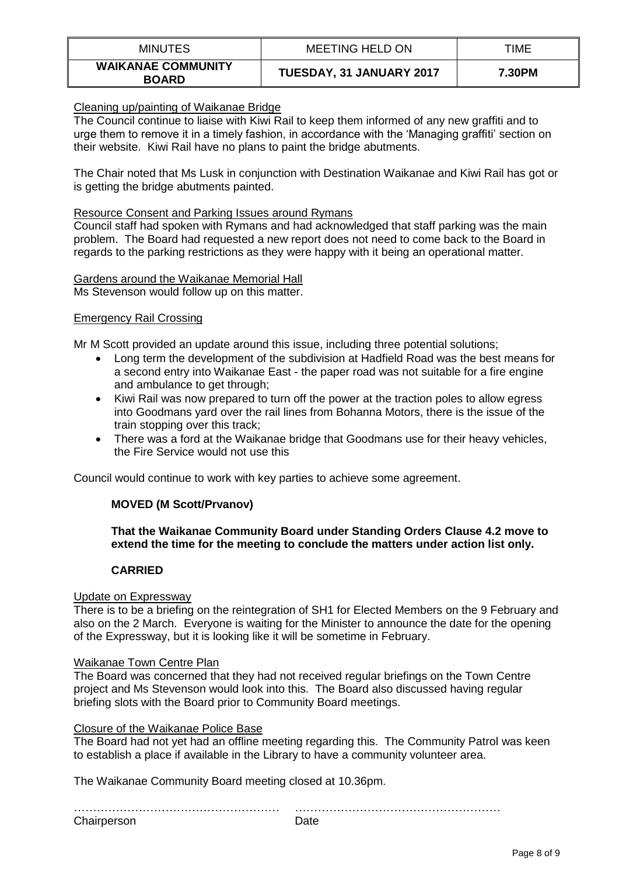| <b>MINUTES</b>                            | <b>MEETING HELD ON</b>   | TIME   |
|-------------------------------------------|--------------------------|--------|
| <b>WAIKANAE COMMUNITY</b><br><b>BOARD</b> | TUESDAY, 31 JANUARY 2017 | 7.30PM |

# Cleaning up/painting of Waikanae Bridge

The Council continue to liaise with Kiwi Rail to keep them informed of any new graffiti and to urge them to remove it in a timely fashion, in accordance with the 'Managing graffiti' section on their website. Kiwi Rail have no plans to paint the bridge abutments.

The Chair noted that Ms Lusk in conjunction with Destination Waikanae and Kiwi Rail has got or is getting the bridge abutments painted.

# Resource Consent and Parking Issues around Rymans

Council staff had spoken with Rymans and had acknowledged that staff parking was the main problem. The Board had requested a new report does not need to come back to the Board in regards to the parking restrictions as they were happy with it being an operational matter.

#### Gardens around the Waikanae Memorial Hall Ms Stevenson would follow up on this matter.

# Emergency Rail Crossing

Mr M Scott provided an update around this issue, including three potential solutions;

- Long term the development of the subdivision at Hadfield Road was the best means for a second entry into Waikanae East - the paper road was not suitable for a fire engine and ambulance to get through;
- Kiwi Rail was now prepared to turn off the power at the traction poles to allow egress into Goodmans yard over the rail lines from Bohanna Motors, there is the issue of the train stopping over this track;
- There was a ford at the Waikanae bridge that Goodmans use for their heavy vehicles, the Fire Service would not use this

Council would continue to work with key parties to achieve some agreement.

# **MOVED (M Scott/Prvanov)**

# **That the Waikanae Community Board under Standing Orders Clause 4.2 move to extend the time for the meeting to conclude the matters under action list only.**

# **CARRIED**

### Update on Expressway

There is to be a briefing on the reintegration of SH1 for Elected Members on the 9 February and also on the 2 March. Everyone is waiting for the Minister to announce the date for the opening of the Expressway, but it is looking like it will be sometime in February.

### Waikanae Town Centre Plan

The Board was concerned that they had not received regular briefings on the Town Centre project and Ms Stevenson would look into this. The Board also discussed having regular briefing slots with the Board prior to Community Board meetings.

### Closure of the Waikanae Police Base

The Board had not yet had an offline meeting regarding this. The Community Patrol was keen to establish a place if available in the Library to have a community volunteer area.

The Waikanae Community Board meeting closed at 10.36pm.